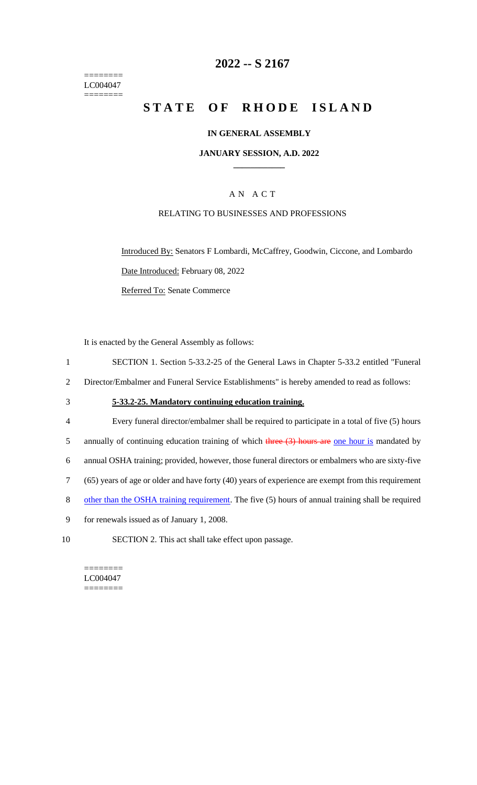======== LC004047 ========

## **2022 -- S 2167**

# **STATE OF RHODE ISLAND**

### **IN GENERAL ASSEMBLY**

#### **JANUARY SESSION, A.D. 2022 \_\_\_\_\_\_\_\_\_\_\_\_**

### A N A C T

### RELATING TO BUSINESSES AND PROFESSIONS

Introduced By: Senators F Lombardi, McCaffrey, Goodwin, Ciccone, and Lombardo Date Introduced: February 08, 2022 Referred To: Senate Commerce

It is enacted by the General Assembly as follows:

- 1 SECTION 1. Section 5-33.2-25 of the General Laws in Chapter 5-33.2 entitled "Funeral
- 2 Director/Embalmer and Funeral Service Establishments" is hereby amended to read as follows:
- 3 **5-33.2-25. Mandatory continuing education training.**
- 4 Every funeral director/embalmer shall be required to participate in a total of five (5) hours 5 annually of continuing education training of which three  $(3)$  hours are one hour is mandated by 6 annual OSHA training; provided, however, those funeral directors or embalmers who are sixty-five 7 (65) years of age or older and have forty (40) years of experience are exempt from this requirement 8 other than the OSHA training requirement. The five (5) hours of annual training shall be required
- 9 for renewals issued as of January 1, 2008.
- 10 SECTION 2. This act shall take effect upon passage.

======== LC004047 ========